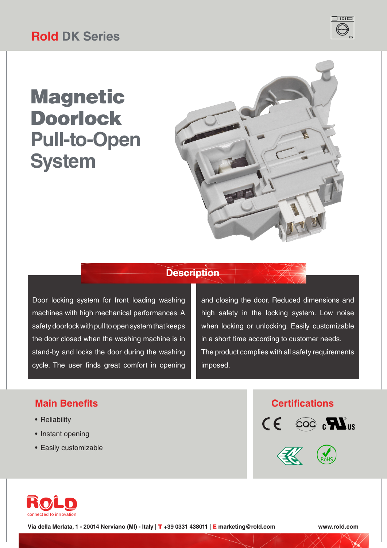# Magnetic Doorlock **Pull-to-Open System**



## **Description**

Door locking system for front loading washing machines with high mechanical performances. A safety doorlock with pull to open system that keeps the door closed when the washing machine is in stand-by and locks the door during the washing cycle. The user finds great comfort in opening

and closing the door. Reduced dimensions and high safety in the locking system. Low noise when locking or unlocking. Easily customizable in a short time according to customer needs. The product complies with all safety requirements imposed.

### **Main Benefits Certifications**

- Reliability
- Instant opening
- Easily customizable







**Via della Merlata, 1 - 20014 Nerviano (MI) - Italy |** T **+39 0331 438011 |** E **marketing@rold.com www.rold.com**